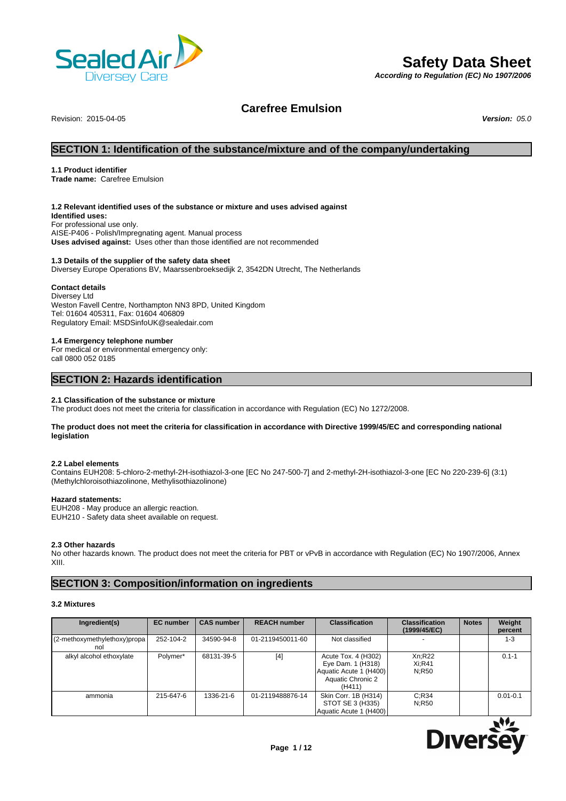

# **Safety Data Sheet**

*According to Regulation (EC) No 1907/2006*

## **Carefree Emulsion**

Revision: 2015-04-05 *Version: 05.0*

## **SECTION 1: Identification of the substance/mixture and of the company/undertaking**

## **1.1 Product identifier**

**Trade name:** Carefree Emulsion

## **1.2 Relevant identified uses of the substance or mixture and uses advised against**

**Identified uses:** For professional use only. AISE-P406 - Polish/Impregnating agent. Manual process **Uses advised against:** Uses other than those identified are not recommended

## **1.3 Details of the supplier of the safety data sheet**

Diversey Europe Operations BV, Maarssenbroeksedijk 2, 3542DN Utrecht, The Netherlands

## **Contact details**

Diversey Ltd Weston Favell Centre, Northampton NN3 8PD, United Kingdom Tel: 01604 405311, Fax: 01604 406809 Regulatory Email: MSDSinfoUK@sealedair.com

#### **1.4 Emergency telephone number**

For medical or environmental emergency only: call 0800 052 0185

## **SECTION 2: Hazards identification**

## **2.1 Classification of the substance or mixture**

The product does not meet the criteria for classification in accordance with Regulation (EC) No 1272/2008.

## **The product does not meet the criteria for classification in accordance with Directive 1999/45/EC and corresponding national legislation**

#### **2.2 Label elements**

Contains EUH208: 5-chloro-2-methyl-2H-isothiazol-3-one [EC No 247-500-7] and 2-methyl-2H-isothiazol-3-one [EC No 220-239-6] (3:1) (Methylchloroisothiazolinone, Methylisothiazolinone)

## **Hazard statements:**

EUH208 - May produce an allergic reaction. EUH210 - Safety data sheet available on request.

## **2.3 Other hazards**

No other hazards known. The product does not meet the criteria for PBT or vPvB in accordance with Regulation (EC) No 1907/2006, Annex XIII.

## **SECTION 3: Composition/information on ingredients**

## **3.2 Mixtures**

| Ingredient(s)                       | <b>EC</b> number | <b>CAS number</b> | <b>REACH number</b> | <b>Classification</b>                                                                             | <b>Classification</b><br>(1999/45/EC) | <b>Notes</b> | Weight<br>percent |
|-------------------------------------|------------------|-------------------|---------------------|---------------------------------------------------------------------------------------------------|---------------------------------------|--------------|-------------------|
| (2-methoxymethylethoxy)propa<br>nol | 252-104-2        | 34590-94-8        | 01-2119450011-60    | Not classified                                                                                    |                                       |              | $1 - 3$           |
| alkyl alcohol ethoxylate            | Polymer*         | 68131-39-5        | $[4]$               | Acute Tox. 4 (H302)<br>Eye Dam. 1 (H318)<br>Aquatic Acute 1 (H400)<br>Aquatic Chronic 2<br>(H411) | Xn:R22<br>Xi:R41<br>N:R50             |              | $0.1 - 1$         |
| ammonia                             | 215-647-6        | 1336-21-6         | 01-2119488876-14    | Skin Corr. 1B (H314)<br>STOT SE 3 (H335)<br>Aquatic Acute 1 (H400)                                | C:R34<br>N:R50                        |              | $0.01 - 0.1$      |

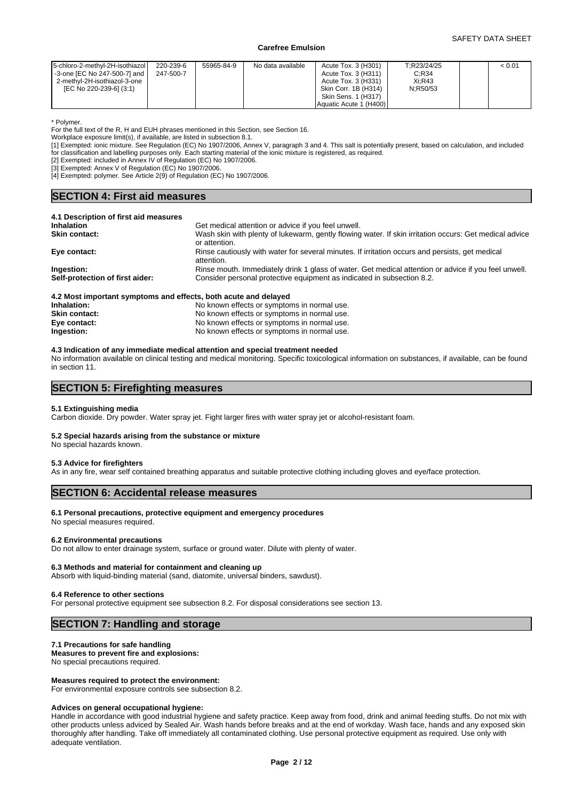| < 0.01 |
|--------|
|--------|

\* Polymer.

For the full text of the R, H and EUH phrases mentioned in this Section, see Section 16.

Workplace exposure limit(s), if available, are listed in subsection 8.1.

[1] Exempted: ionic mixture. See Regulation (EC) No 1907/2006, Annex V, paragraph 3 and 4. This salt is potentially present, based on calculation, and included for classification and labelling purposes only. Each starting material of the ionic mixture is registered, as required.

[2] Exempted: included in Annex IV of Regulation (EC) No 1907/2006.

[3] Exempted: Annex V of Regulation (EC) No 1907/2006.

[4] Exempted: polymer. See Article 2(9) of Regulation (EC) No 1907/2006.

## **SECTION 4: First aid measures**

| 4.1 Description of first aid measures                                                        |                                                                                                                         |
|----------------------------------------------------------------------------------------------|-------------------------------------------------------------------------------------------------------------------------|
| <b>Inhalation</b>                                                                            | Get medical attention or advice if you feel unwell.                                                                     |
| <b>Skin contact:</b>                                                                         | Wash skin with plenty of lukewarm, gently flowing water. If skin irritation occurs: Get medical advice<br>or attention. |
| Eye contact:                                                                                 | Rinse cautiously with water for several minutes. If irritation occurs and persists, get medical<br>attention.           |
| Ingestion:                                                                                   | Rinse mouth. Immediately drink 1 glass of water. Get medical attention or advice if you feel unwell.                    |
| Self-protection of first aider:                                                              | Consider personal protective equipment as indicated in subsection 8.2.                                                  |
| A.O. Mast because the characteristic starts and affects. In this words were the final of the |                                                                                                                         |

| 4.2 MOSt important symptoms and effects, both acute and delayed |                                             |
|-----------------------------------------------------------------|---------------------------------------------|
| Inhalation:                                                     | No known effects or symptoms in normal use. |
| Skin contact:                                                   | No known effects or symptoms in normal use. |
| Eye contact:                                                    | No known effects or symptoms in normal use. |
| Ingestion:                                                      | No known effects or symptoms in normal use. |
|                                                                 |                                             |

## **4.3 Indication of any immediate medical attention and special treatment needed**

No information available on clinical testing and medical monitoring. Specific toxicological information on substances, if available, can be found in section 11.

## **SECTION 5: Firefighting measures**

## **5.1 Extinguishing media**

Carbon dioxide. Dry powder. Water spray jet. Fight larger fires with water spray jet or alcohol-resistant foam.

## **5.2 Special hazards arising from the substance or mixture**

No special hazards known.

#### **5.3 Advice for firefighters**

As in any fire, wear self contained breathing apparatus and suitable protective clothing including gloves and eye/face protection.

## **SECTION 6: Accidental release measures**

#### **6.1 Personal precautions, protective equipment and emergency procedures**

No special measures required.

#### **6.2 Environmental precautions**

Do not allow to enter drainage system, surface or ground water. Dilute with plenty of water.

#### **6.3 Methods and material for containment and cleaning up**

Absorb with liquid-binding material (sand, diatomite, universal binders, sawdust).

#### **6.4 Reference to other sections**

For personal protective equipment see subsection 8.2. For disposal considerations see section 13.

## **SECTION 7: Handling and storage**

#### **7.1 Precautions for safe handling**

## **Measures to prevent fire and explosions:**

No special precautions required.

#### **Measures required to protect the environment:**

For environmental exposure controls see subsection 8.2.

#### **Advices on general occupational hygiene:**

Handle in accordance with good industrial hygiene and safety practice. Keep away from food, drink and animal feeding stuffs. Do not mix with other products unless adviced by Sealed Air. Wash hands before breaks and at the end of workday. Wash face, hands and any exposed skin thoroughly after handling. Take off immediately all contaminated clothing. Use personal protective equipment as required. Use only with adequate ventilation.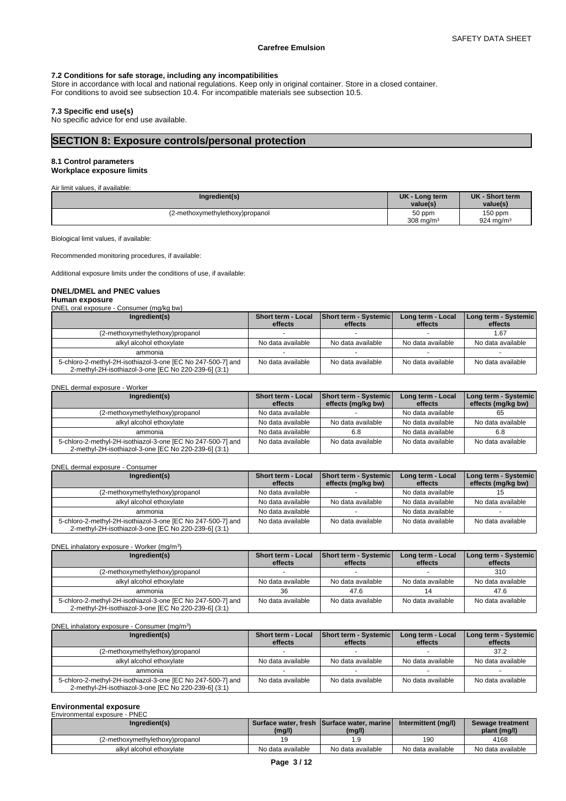## **7.2 Conditions for safe storage, including any incompatibilities**

Store in accordance with local and national regulations. Keep only in original container. Store in a closed container. For conditions to avoid see subsection 10.4. For incompatible materials see subsection 10.5.

## **7.3 Specific end use(s)**

No specific advice for end use available.

## **SECTION 8: Exposure controls/personal protection**

## **8.1 Control parameters Workplace exposure limits**

Air limit values, if available:

Biological limit values, if available:

Recommended monitoring procedures, if available:

Additional exposure limits under the conditions of use, if available:

## **DNEL/DMEL and PNEC values**

## **Human exposure**

DNEL oral exposure - Consumer (mg/kg bw)

| Ingredient(s)                                                                                                       | <b>Short term - Local</b><br>effects | <b>Short term - Systemic</b><br>effects | Long term - Local<br>effects | Long term - Systemic  <br>effects |
|---------------------------------------------------------------------------------------------------------------------|--------------------------------------|-----------------------------------------|------------------------------|-----------------------------------|
| (2-methoxymethylethoxy)propanol                                                                                     |                                      |                                         |                              | 1.67                              |
| alkyl alcohol ethoxylate                                                                                            | No data available                    | No data available                       | No data available            | No data available                 |
| ammonia                                                                                                             |                                      |                                         |                              |                                   |
| 5-chloro-2-methyl-2H-isothiazol-3-one [EC No 247-500-7] and<br>2-methyl-2H-isothiazol-3-one [EC No 220-239-6] (3:1) | No data available                    | No data available                       | No data available            | No data available                 |

|  | DNEL dermal exposure - Worker |  |  |
|--|-------------------------------|--|--|
|--|-------------------------------|--|--|

| Ingredient(s)                                               | Short term - Local | <b>Short term - Systemic</b> | Long term - Local | Long term - Systemic |
|-------------------------------------------------------------|--------------------|------------------------------|-------------------|----------------------|
|                                                             | effects            | effects (mg/kg bw)           | effects           | effects (mg/kg bw)   |
| (2-methoxymethylethoxy)propanol                             | No data available  |                              | No data available | 65                   |
| alkyl alcohol ethoxylate                                    | No data available  | No data available            | No data available | No data available    |
| ammonia                                                     | No data available  | 6.8                          | No data available | 6.8                  |
| 5-chloro-2-methyl-2H-isothiazol-3-one [EC No 247-500-7] and | No data available  | No data available            | No data available | No data available    |
| 2-methyl-2H-isothiazol-3-one [EC No 220-239-6] (3:1)        |                    |                              |                   |                      |

#### DNEL dermal exposure - Consumer

| Ingredient(s)                                                                                                       | Short term - Local | Short term - Systemic | Long term - Local | Long term - Systemic |
|---------------------------------------------------------------------------------------------------------------------|--------------------|-----------------------|-------------------|----------------------|
|                                                                                                                     | effects            | effects (mg/kg bw)    | effects           | effects (mg/kg bw)   |
| (2-methoxymethylethoxy)propanol                                                                                     | No data available  |                       | No data available |                      |
| alkyl alcohol ethoxylate                                                                                            | No data available  | No data available     | No data available | No data available    |
| ammonia                                                                                                             | No data available  |                       | No data available |                      |
| 5-chloro-2-methyl-2H-isothiazol-3-one [EC No 247-500-7] and<br>2-methyl-2H-isothiazol-3-one [EC No 220-239-6] (3:1) | No data available  | No data available     | No data available | No data available    |

DNEL inhalatory exposure - Worker (mg/m<sup>3</sup>) )

| Ingredient(s) |                                                                                                                     | <b>Short term - Local</b> | <b>Short term - Systemic</b> | Long term - Local | Long term - Systemic |
|---------------|---------------------------------------------------------------------------------------------------------------------|---------------------------|------------------------------|-------------------|----------------------|
|               |                                                                                                                     | effects                   | effects                      | effects           | effects              |
|               | (2-methoxymethylethoxy)propanol                                                                                     |                           |                              |                   | 310                  |
|               | alkyl alcohol ethoxylate                                                                                            | No data available         | No data available            | No data available | No data available    |
|               | ammonia                                                                                                             | 36                        | 47.6                         |                   | 47.6                 |
|               | 5-chloro-2-methyl-2H-isothiazol-3-one [EC No 247-500-7] and<br>2-methyl-2H-isothiazol-3-one [EC No 220-239-6] (3:1) | No data available         | No data available            | No data available | No data available    |

#### DNEL inhalatory exposure - Consumer (mg/m<sup>3</sup>) )

| Ingredient(s)                                                                                                       | Short term - Local<br>effects | <b>Short term - Systemic</b><br>effects | Long term - Local<br>effects | <b>I Long term - Systemic  </b><br>effects |
|---------------------------------------------------------------------------------------------------------------------|-------------------------------|-----------------------------------------|------------------------------|--------------------------------------------|
| (2-methoxymethylethoxy)propanol                                                                                     |                               |                                         |                              | 37.2                                       |
| alkyl alcohol ethoxylate                                                                                            | No data available             | No data available                       | No data available            | No data available                          |
| ammonia                                                                                                             |                               |                                         |                              |                                            |
| 5-chloro-2-methyl-2H-isothiazol-3-one [EC No 247-500-7] and<br>2-methyl-2H-isothiazol-3-one [EC No 220-239-6] (3:1) | No data available             | No data available                       | No data available            | No data available                          |

# **Environmental exposure** Environmental exposure - PNEC

| LIIVIIVIIIIVIIWI VADVJUIV<br>$\cdots$ |                   |                                             |                     |                   |
|---------------------------------------|-------------------|---------------------------------------------|---------------------|-------------------|
| Ingredient(s)                         |                   | Surface water, fresh Surface water, marinel | Intermittent (mg/l) | Sewage treatment  |
|                                       | (mg/l)            | (mg/l)                                      |                     | plant (mq/l)      |
| (2-methoxymethylethoxy)propanol       |                   | l .9                                        | 190                 | 4168              |
| alkyl alcohol ethoxylate              | No data available | No data available                           | No data available   | No data available |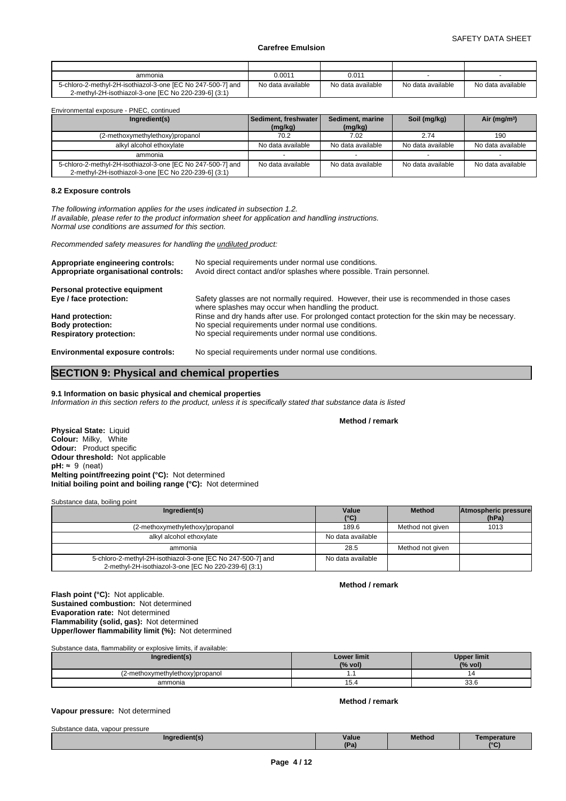| ammonia                                                     | 0.0011            | 0.011             |                   |                   |
|-------------------------------------------------------------|-------------------|-------------------|-------------------|-------------------|
| 5-chloro-2-methyl-2H-isothiazol-3-one IEC No 247-500-71 and | No data available | No data available | No data available | No data available |
| 2-methyl-2H-isothiazol-3-one IEC No 220-239-61 (3:1)        |                   |                   |                   |                   |

Environmental exposure - PNEC, continued

| Ingredient(s)                                                                                                       | l Sediment. freshwater l | Sediment, marine  | Soil (mg/kg)      | Air ( $mq/m3$ )   |
|---------------------------------------------------------------------------------------------------------------------|--------------------------|-------------------|-------------------|-------------------|
|                                                                                                                     | (mg/kg)                  | (mg/kg)           |                   |                   |
| (2-methoxymethylethoxy)propanol                                                                                     | 70.2                     | 7.02              | 2.74              | 190               |
| alkyl alcohol ethoxylate                                                                                            | No data available        | No data available | No data available | No data available |
| ammonia                                                                                                             |                          |                   |                   |                   |
| 5-chloro-2-methyl-2H-isothiazol-3-one [EC No 247-500-7] and<br>2-methyl-2H-isothiazol-3-one [EC No 220-239-6] (3:1) | No data available        | No data available | No data available | No data available |

## **8.2 Exposure controls**

*The following information applies for the uses indicated in subsection 1.2. If available, please refer to the product information sheet for application and handling instructions. Normal use conditions are assumed for this section.*

*Recommended safety measures for handling the undiluted product:*

| Appropriate engineering controls:<br>Appropriate organisational controls: | No special requirements under normal use conditions.<br>Avoid direct contact and/or splashes where possible. Train personnel.                     |
|---------------------------------------------------------------------------|---------------------------------------------------------------------------------------------------------------------------------------------------|
| Personal protective equipment                                             |                                                                                                                                                   |
| Eye / face protection:                                                    | Safety glasses are not normally required. However, their use is recommended in those cases<br>where splashes may occur when handling the product. |
| Hand protection:                                                          | Rinse and dry hands after use. For prolonged contact protection for the skin may be necessary.                                                    |
| <b>Body protection:</b>                                                   | No special requirements under normal use conditions.                                                                                              |
| <b>Respiratory protection:</b>                                            | No special requirements under normal use conditions.                                                                                              |
| <b>Environmental exposure controls:</b>                                   | No special requirements under normal use conditions.                                                                                              |

## **SECTION 9: Physical and chemical properties**

## **9.1 Information on basic physical and chemical properties**

*Information in this section refers to the product, unless it is specifically stated that substance data is listed*

**Method / remark**

**Physical State:** Liquid **Colour:** Milky, White **Odour:** Product specific **Odour threshold:** Not applicable  $pH: ~ 9$  (neat) **Melting point/freezing point (°C):** Not determined **Initial boiling point and boiling range (°C):** Not determined

Substance data, boiling point

| Ingredient(s)                                                                                                       | Value<br>$(^{\circ}C)$ | <b>Method</b>    | Atmospheric pressure<br>(hPa) |
|---------------------------------------------------------------------------------------------------------------------|------------------------|------------------|-------------------------------|
| (2-methoxymethylethoxy)propanol                                                                                     | 189.6                  | Method not given | 1013                          |
| alkyl alcohol ethoxylate                                                                                            | No data available      |                  |                               |
| ammonia                                                                                                             | 28.5                   | Method not given |                               |
| 5-chloro-2-methyl-2H-isothiazol-3-one [EC No 247-500-7] and<br>2-methyl-2H-isothiazol-3-one [EC No 220-239-6] (3:1) | No data available      |                  |                               |

**Method / remark**

**Flash point (°C):** Not applicable. **Sustained combustion:** Not determined **Evaporation rate:** Not determined **Flammability (solid, gas):** Not determined **Upper/lower flammability limit (%):** Not determined

Substance data, flammability or explosive limits, if available:

| Ingredient(s)                  | <b>Lower limit</b><br>(% vol) | <b>Upper limit</b><br>(% vol) |
|--------------------------------|-------------------------------|-------------------------------|
| 2-methoxymethylethoxy)propanol |                               |                               |
| ammonia                        | 15.4                          | $\sim$<br>ບບ.ບ                |

## **Vapour pressure:** Not determined

| Substance data,<br>, vapour pressure |            |               |                      |
|--------------------------------------|------------|---------------|----------------------|
| Ingredient(s)                        | Value      | <b>Method</b> | emperature           |
|                                      | <b>TD.</b> |               | 10 <sub>C</sub><br>ັ |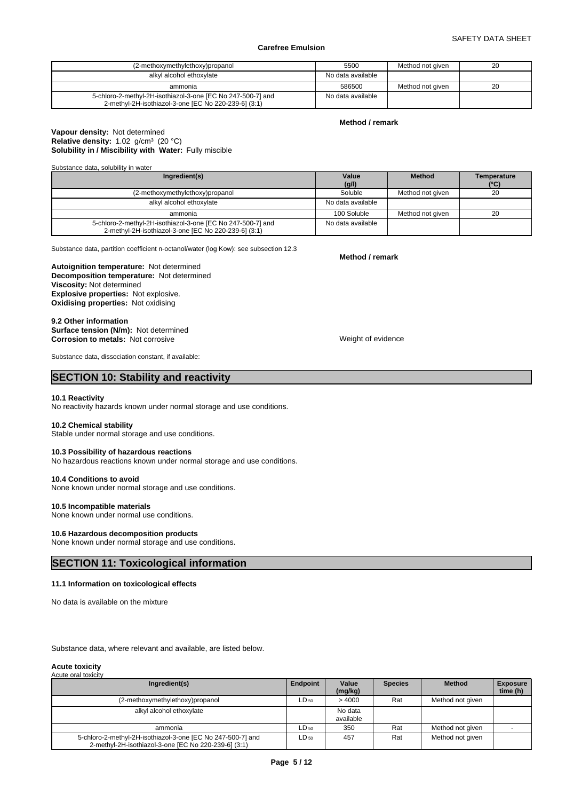## SAFETY DATA SHEET

## **Carefree Emulsion**

| (2-methoxymethylethoxy)propanol                                                                                     | 5500              | Method not given | 20 |  |
|---------------------------------------------------------------------------------------------------------------------|-------------------|------------------|----|--|
| alkyl alcohol ethoxylate                                                                                            | No data available |                  |    |  |
| ammonia                                                                                                             | 586500            | Method not given | 20 |  |
| 5-chloro-2-methyl-2H-isothiazol-3-one [EC No 247-500-7] and<br>2-methyl-2H-isothiazol-3-one [EC No 220-239-6] (3:1) | No data available |                  |    |  |

#### **Method / remark**

#### **Solubility in / Miscibility with Water:** Fully miscible **Vapour density:** Not determined Relative density: 1.02 g/cm<sup>3</sup> (20 °C)

Substance data, solubility in water

| Ingredient(s)                                                                                                       | Value             | <b>Method</b>    | Temperature |
|---------------------------------------------------------------------------------------------------------------------|-------------------|------------------|-------------|
|                                                                                                                     | (g/l)<br>Soluble  |                  | (°C)<br>20  |
| (2-methoxymethylethoxy)propanol                                                                                     |                   | Method not given |             |
| alkyl alcohol ethoxylate                                                                                            | No data available |                  |             |
| ammonia                                                                                                             | 100 Soluble       | Method not given | 20          |
| 5-chloro-2-methyl-2H-isothiazol-3-one [EC No 247-500-7] and<br>2-methyl-2H-isothiazol-3-one [EC No 220-239-6] (3:1) | No data available |                  |             |

Substance data, partition coefficient n-octanol/water (log Kow): see subsection 12.3

**Decomposition temperature:** Not determined **Autoignition temperature:** Not determined **Viscosity:** Not determined **Explosive properties:** Not explosive. **Oxidising properties:** Not oxidising

**9.2 Other information Surface tension (N/m):** Not determined **Corrosion to metals:** Not corrosive **Weight of evidence** Weight of evidence

Substance data, dissociation constant, if available:

## **SECTION 10: Stability and reactivity**

#### **10.1 Reactivity**

No reactivity hazards known under normal storage and use conditions.

#### **10.2 Chemical stability**

Stable under normal storage and use conditions.

## **10.3 Possibility of hazardous reactions**

No hazardous reactions known under normal storage and use conditions.

#### **10.4 Conditions to avoid**

None known under normal storage and use conditions.

#### **10.5 Incompatible materials**

None known under normal use conditions.

#### **10.6 Hazardous decomposition products**

None known under normal storage and use conditions.

## **SECTION 11: Toxicological information**

#### **11.1 Information on toxicological effects**

No data is available on the mixture

Substance data, where relevant and available, are listed below.

#### **Acute toxicity** Acute oral toxicity

| Ingredient(s)                                                                                                       | Endpoint  | Value<br>(mg/kg)     | <b>Species</b> | <b>Method</b>    | <b>Exposure</b><br>time (h) |
|---------------------------------------------------------------------------------------------------------------------|-----------|----------------------|----------------|------------------|-----------------------------|
| (2-methoxymethylethoxy)propanol                                                                                     | $LD_{50}$ | >4000                | Rat            | Method not given |                             |
| alkyl alcohol ethoxylate                                                                                            |           | No data<br>available |                |                  |                             |
| ammonia                                                                                                             | LD 50     | 350                  | Rat            | Method not given |                             |
| 5-chloro-2-methyl-2H-isothiazol-3-one [EC No 247-500-7] and<br>2-methyl-2H-isothiazol-3-one [EC No 220-239-6] (3:1) | LD 50     | 457                  | Rat            | Method not given |                             |

**Method / remark**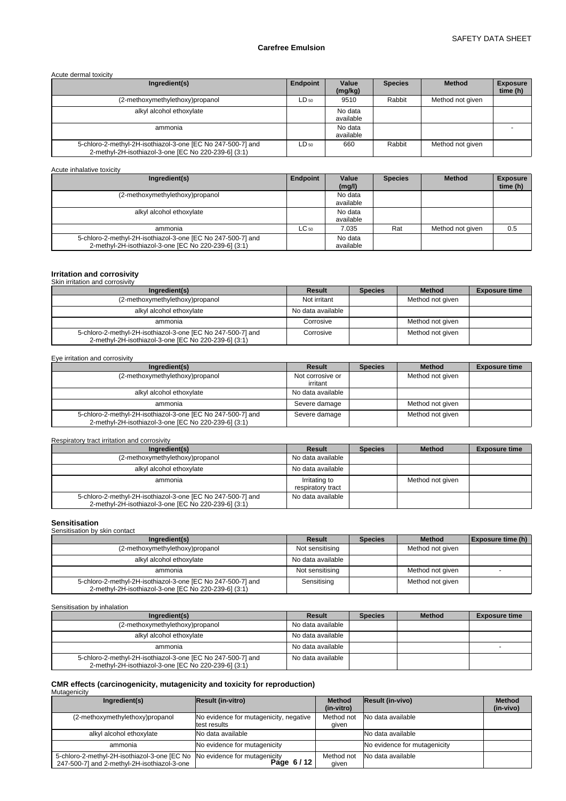Acute dermal toxicity

| Ingredient(s)                                                                                                       | Endpoint  | Value<br>(mg/kg)     | <b>Species</b> | <b>Method</b>    | <b>Exposure</b><br>time (h) |
|---------------------------------------------------------------------------------------------------------------------|-----------|----------------------|----------------|------------------|-----------------------------|
| (2-methoxymethylethoxy)propanol                                                                                     | $LD_{50}$ | 9510                 | Rabbit         | Method not given |                             |
| alkyl alcohol ethoxylate                                                                                            |           | No data<br>available |                |                  |                             |
| ammonia                                                                                                             |           | No data<br>available |                |                  |                             |
| 5-chloro-2-methyl-2H-isothiazol-3-one [EC No 247-500-7] and<br>2-methyl-2H-isothiazol-3-one [EC No 220-239-6] (3:1) | $LD_{50}$ | 660                  | Rabbit         | Method not given |                             |

Acute inhalative toxicity

| Ingredient(s)                                                                                                       | <b>Endpoint</b> | Value<br>(mg/l)      | <b>Species</b> | <b>Method</b>    | <b>Exposure</b><br>time (h) |
|---------------------------------------------------------------------------------------------------------------------|-----------------|----------------------|----------------|------------------|-----------------------------|
| (2-methoxymethylethoxy)propanol                                                                                     |                 | No data<br>available |                |                  |                             |
| alkyl alcohol ethoxylate                                                                                            |                 | No data<br>available |                |                  |                             |
| ammonia                                                                                                             | $LC_{50}$       | 7.035                | Rat            | Method not given | 0.5                         |
| 5-chloro-2-methyl-2H-isothiazol-3-one [EC No 247-500-7] and<br>2-methyl-2H-isothiazol-3-one [EC No 220-239-6] (3:1) |                 | No data<br>available |                |                  |                             |

#### **Irritation and corrosivity** Skin irritation and corrosivity

| <u> UNITED MANUTE CHIU UUTTUURIN</u>                                                                                |                   |                |                  |                      |
|---------------------------------------------------------------------------------------------------------------------|-------------------|----------------|------------------|----------------------|
| Ingredient(s)                                                                                                       | Result            | <b>Species</b> | <b>Method</b>    | <b>Exposure time</b> |
| (2-methoxymethylethoxy)propanol                                                                                     | Not irritant      |                | Method not given |                      |
| alkyl alcohol ethoxylate                                                                                            | No data available |                |                  |                      |
| ammonia                                                                                                             | Corrosive         |                | Method not given |                      |
| 5-chloro-2-methyl-2H-isothiazol-3-one [EC No 247-500-7] and<br>2-methyl-2H-isothiazol-3-one [EC No 220-239-6] (3:1) | Corrosive         |                | Method not given |                      |

Eye irritation and corrosivity

| Ingredient(s)                                                                                                       | Result                       | <b>Species</b> | <b>Method</b>    | <b>Exposure time</b> |
|---------------------------------------------------------------------------------------------------------------------|------------------------------|----------------|------------------|----------------------|
| (2-methoxymethylethoxy)propanol                                                                                     | Not corrosive or<br>irritant |                | Method not given |                      |
| alkyl alcohol ethoxylate                                                                                            | No data available            |                |                  |                      |
| ammonia                                                                                                             | Severe damage                |                | Method not given |                      |
| 5-chloro-2-methyl-2H-isothiazol-3-one [EC No 247-500-7] and<br>2-methyl-2H-isothiazol-3-one [EC No 220-239-6] (3:1) | Severe damage                |                | Method not given |                      |

## Respiratory tract irritation and corrosivity

| Ingredient(s)                                                                                                       | Result                             | <b>Species</b> | <b>Method</b>    | <b>Exposure time</b> |
|---------------------------------------------------------------------------------------------------------------------|------------------------------------|----------------|------------------|----------------------|
| (2-methoxymethylethoxy)propanol                                                                                     | No data available                  |                |                  |                      |
| alkyl alcohol ethoxylate                                                                                            | No data available                  |                |                  |                      |
| ammonia                                                                                                             | Irritating to<br>respiratory tract |                | Method not given |                      |
| 5-chloro-2-methyl-2H-isothiazol-3-one [EC No 247-500-7] and<br>2-methyl-2H-isothiazol-3-one [EC No 220-239-6] (3:1) | No data available                  |                |                  |                      |

| <b>Sensitisation</b>                                                                                                |                   |                |                  |                          |  |  |  |  |  |  |
|---------------------------------------------------------------------------------------------------------------------|-------------------|----------------|------------------|--------------------------|--|--|--|--|--|--|
| Sensitisation by skin contact                                                                                       |                   |                |                  |                          |  |  |  |  |  |  |
| Ingredient(s)                                                                                                       | Result            | <b>Species</b> | <b>Method</b>    | <b>Exposure time (h)</b> |  |  |  |  |  |  |
| (2-methoxymethylethoxy)propanol                                                                                     | Not sensitising   |                | Method not given |                          |  |  |  |  |  |  |
| alkyl alcohol ethoxylate                                                                                            | No data available |                |                  |                          |  |  |  |  |  |  |
| ammonia                                                                                                             | Not sensitising   |                | Method not given |                          |  |  |  |  |  |  |
| 5-chloro-2-methyl-2H-isothiazol-3-one [EC No 247-500-7] and<br>2-methyl-2H-isothiazol-3-one [EC No 220-239-6] (3:1) | Sensitising       |                | Method not given |                          |  |  |  |  |  |  |

Sensitisation by inhalation

| Ingredient(s)                                                                                                       | Result            | <b>Species</b> | <b>Method</b> | <b>Exposure time</b> |
|---------------------------------------------------------------------------------------------------------------------|-------------------|----------------|---------------|----------------------|
| (2-methoxymethylethoxy)propanol                                                                                     | No data available |                |               |                      |
| alkyl alcohol ethoxylate                                                                                            | No data available |                |               |                      |
| ammonia                                                                                                             | No data available |                |               |                      |
| 5-chloro-2-methyl-2H-isothiazol-3-one [EC No 247-500-7] and<br>2-methyl-2H-isothiazol-3-one [EC No 220-239-6] (3:1) | No data available |                |               |                      |

# **CMR effects (carcinogenicity, mutagenicity and toxicity for reproduction)** Mutagenicity

| Ingredient(s)                                                                                                            | Result (in-vitro)                                      | <b>Method</b><br>(in-vitro) | <b>Result (in-vivo)</b>      | <b>Method</b><br>(in-vivo) |
|--------------------------------------------------------------------------------------------------------------------------|--------------------------------------------------------|-----------------------------|------------------------------|----------------------------|
| (2-methoxymethylethoxy)propanol                                                                                          | No evidence for mutagenicity, negative<br>test results | Method not<br>given         | No data available            |                            |
| alkyl alcohol ethoxylate                                                                                                 | No data available                                      |                             | No data available            |                            |
| ammonia                                                                                                                  | No evidence for mutagenicity                           |                             | No evidence for mutagenicity |                            |
| 5-chloro-2-methyl-2H-isothiazol-3-one [EC No No evidence for mutagenicity<br>247-500-7] and 2-methyl-2H-isothiazol-3-one | Page 6/12                                              | Method not<br>qiven         | No data available            |                            |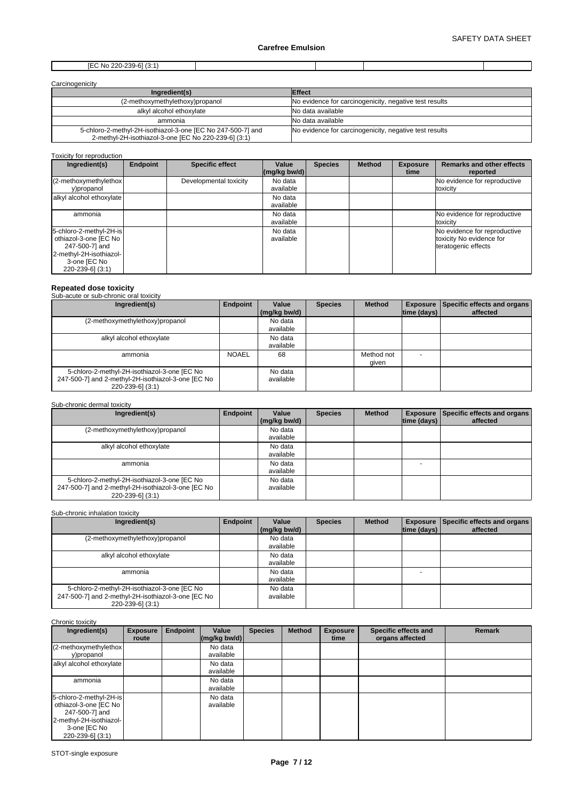## [EC No 220-239-6] (3:1)

| Carcinogenicity |  |
|-----------------|--|
|                 |  |

| Ingredient(s)                                                                                                       | <b>Effect</b>                                          |
|---------------------------------------------------------------------------------------------------------------------|--------------------------------------------------------|
| (2-methoxymethylethoxy)propanol                                                                                     | No evidence for carcinogenicity, negative test results |
| alkyl alcohol ethoxylate                                                                                            | No data available                                      |
| ammonia                                                                                                             | No data available                                      |
| 5-chloro-2-methyl-2H-isothiazol-3-one [EC No 247-500-7] and<br>2-methyl-2H-isothiazol-3-one [EC No 220-239-6] (3:1) | No evidence for carcinogenicity, negative test results |

Toxicity for reproduction

| Ingredient(s)                                                                                                                     | <b>Endpoint</b> | <b>Specific effect</b> | Value<br>$\left \frac{\text{mg}}{\text{kg}}\right $ bw/d) | <b>Species</b> | <b>Method</b> | <b>Exposure</b><br>time | <b>Remarks and other effects</b><br>reported                                    |
|-----------------------------------------------------------------------------------------------------------------------------------|-----------------|------------------------|-----------------------------------------------------------|----------------|---------------|-------------------------|---------------------------------------------------------------------------------|
| (2-methoxymethylethox)<br>y)propanol                                                                                              |                 | Developmental toxicity | No data<br>available                                      |                |               |                         | No evidence for reproductive<br>toxicity                                        |
| alkyl alcohol ethoxylate                                                                                                          |                 |                        | No data<br>available                                      |                |               |                         |                                                                                 |
| ammonia                                                                                                                           |                 |                        | No data<br>available                                      |                |               |                         | No evidence for reproductive<br>toxicity                                        |
| 5-chloro-2-methyl-2H-is<br>othiazol-3-one [EC No<br>247-500-7] and<br>2-methyl-2H-isothiazol-<br>3-one [EC No<br>220-239-6] (3:1) |                 |                        | No data<br>available                                      |                |               |                         | No evidence for reproductive<br>toxicity No evidence for<br>teratogenic effects |

# **Repeated dose toxicity** Sub-acute or sub-chronic oral toxicity

#### **Ingredient(s) Endpoint Value** Species **(mg/kg bw/d) Species | Method | Exposure | Specific effects and organs | time (days) affected**  (2-methoxymethylethoxy)propanol No data available alkyl alcohol ethoxylate No data available ammonia NOAEL 68 Method not given - 5-chloro-2-methyl-2H-isothiazol-3-one [EC No 247-500-7] and 2-methyl-2H-isothiazol-3-one [EC No 220-239-6] (3:1) No data available

## Sub-chronic dermal toxicity

| Ingredient(s)                                                                                                          | Endpoint | Value<br>(mg/kg bw/d) | <b>Species</b> | <b>Method</b> | time (days) | <b>Exposure Specific effects and organs</b><br>affected |
|------------------------------------------------------------------------------------------------------------------------|----------|-----------------------|----------------|---------------|-------------|---------------------------------------------------------|
| (2-methoxymethylethoxy)propanol                                                                                        |          | No data<br>available  |                |               |             |                                                         |
| alkyl alcohol ethoxylate                                                                                               |          | No data<br>available  |                |               |             |                                                         |
| ammonia                                                                                                                |          | No data<br>available  |                |               |             |                                                         |
| 5-chloro-2-methyl-2H-isothiazol-3-one [EC No<br>247-500-7] and 2-methyl-2H-isothiazol-3-one [EC No<br>220-239-6] (3:1) |          | No data<br>available  |                |               |             |                                                         |

#### Sub-chronic inhalation toxicity

| Ingredient(s)                                                                                                          | Endpoint | Value<br>(mg/kg bw/d) | <b>Species</b> | <b>Method</b> | time (days) | <b>Exposure Specific effects and organs</b><br>affected |
|------------------------------------------------------------------------------------------------------------------------|----------|-----------------------|----------------|---------------|-------------|---------------------------------------------------------|
| (2-methoxymethylethoxy)propanol                                                                                        |          | No data<br>available  |                |               |             |                                                         |
| alkyl alcohol ethoxylate                                                                                               |          | No data<br>available  |                |               |             |                                                         |
| ammonia                                                                                                                |          | No data<br>available  |                |               |             |                                                         |
| 5-chloro-2-methyl-2H-isothiazol-3-one [EC No<br>247-500-7] and 2-methyl-2H-isothiazol-3-one [EC No<br>220-239-6] (3:1) |          | No data<br>available  |                |               |             |                                                         |

#### Chronic toxicity

| Ingredient(s)                                                                                                                     | <b>Exposure</b><br>route | Endpoint | Value<br>$\left \frac{\text{mg}}{\text{kg}}\right $ bw/d) | <b>Species</b> | <b>Method</b> | <b>Exposure</b><br>time | Specific effects and<br>organs affected | <b>Remark</b> |
|-----------------------------------------------------------------------------------------------------------------------------------|--------------------------|----------|-----------------------------------------------------------|----------------|---------------|-------------------------|-----------------------------------------|---------------|
| (2-methoxymethylethox)<br>y)propanol                                                                                              |                          |          | No data<br>available                                      |                |               |                         |                                         |               |
| alkyl alcohol ethoxylate                                                                                                          |                          |          | No data<br>available                                      |                |               |                         |                                         |               |
| ammonia                                                                                                                           |                          |          | No data<br>available                                      |                |               |                         |                                         |               |
| 5-chloro-2-methyl-2H-is<br>othiazol-3-one [EC No<br>247-500-7] and<br>2-methyl-2H-isothiazol-<br>3-one [EC No<br>220-239-6] (3:1) |                          |          | No data<br>available                                      |                |               |                         |                                         |               |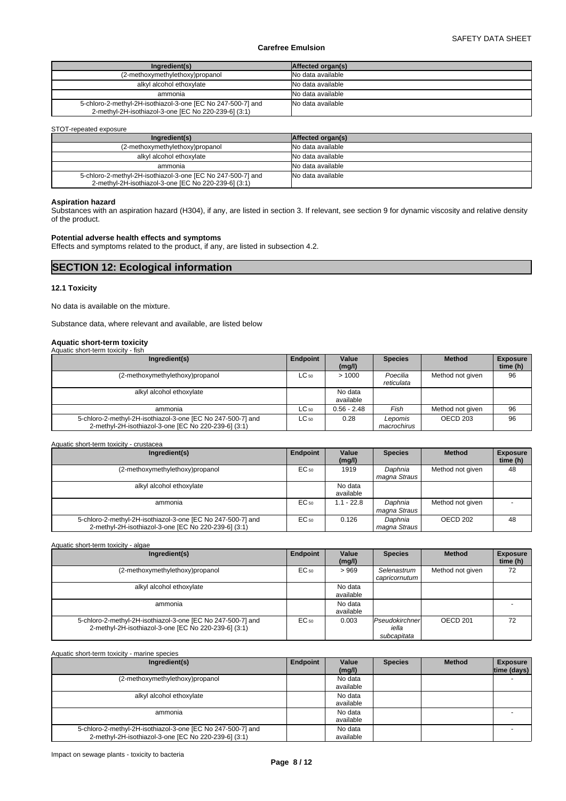| Ingredient(s)                                                                                                       | Affected organ(s) |
|---------------------------------------------------------------------------------------------------------------------|-------------------|
| (2-methoxymethylethoxy)propanol                                                                                     | No data available |
| alkyl alcohol ethoxylate                                                                                            | No data available |
| ammonia                                                                                                             | No data available |
| 5-chloro-2-methyl-2H-isothiazol-3-one [EC No 247-500-7] and<br>2-methyl-2H-isothiazol-3-one [EC No 220-239-6] (3:1) | No data available |

## STOT-repeated exposure

| Ingredient(s)                                               | Affected organ(s) |
|-------------------------------------------------------------|-------------------|
| (2-methoxymethylethoxy)propanol                             | No data available |
| alkyl alcohol ethoxylate                                    | No data available |
| ammonia                                                     | No data available |
| 5-chloro-2-methyl-2H-isothiazol-3-one [EC No 247-500-7] and | No data available |
| 2-methyl-2H-isothiazol-3-one [EC No 220-239-6] (3:1)        |                   |

## **Aspiration hazard**

Substances with an aspiration hazard (H304), if any, are listed in section 3. If relevant, see section 9 for dynamic viscosity and relative density of the product.

## **Potential adverse health effects and symptoms**

Effects and symptoms related to the product, if any, are listed in subsection 4.2.

## **SECTION 12: Ecological information**

## **12.1 Toxicity**

No data is available on the mixture.

Substance data, where relevant and available, are listed below

# **Aquatic short-term toxicity** Aquatic short-term toxicity - fish

| <b>Negatio</b> short torm toxiolty<br>.                                                                             |                 |                      |                        |                  |                             |
|---------------------------------------------------------------------------------------------------------------------|-----------------|----------------------|------------------------|------------------|-----------------------------|
| Ingredient(s)                                                                                                       | <b>Endpoint</b> | Value<br>(mg/l)      | <b>Species</b>         | <b>Method</b>    | <b>Exposure</b><br>time (h) |
| (2-methoxymethylethoxy)propanol                                                                                     | $LC_{50}$       | >1000                | Poecilia<br>reticulata | Method not given | 96                          |
| alkyl alcohol ethoxylate                                                                                            |                 | No data<br>available |                        |                  |                             |
| ammonia                                                                                                             | $LC_{50}$       | $0.56 - 2.48$        | Fish                   | Method not given | 96                          |
| 5-chloro-2-methyl-2H-isothiazol-3-one [EC No 247-500-7] and<br>2-methyl-2H-isothiazol-3-one [EC No 220-239-6] (3:1) | $LC_{50}$       | 0.28                 | Lepomis<br>macrochirus | OECD 203         | 96                          |

#### Aquatic short-term toxicity - crustacea

| Ingredient(s)                                                                                                       | <b>Endpoint</b> | Value<br>(mg/l)      | <b>Species</b>          | <b>Method</b>       | <b>Exposure</b><br>time (h) |
|---------------------------------------------------------------------------------------------------------------------|-----------------|----------------------|-------------------------|---------------------|-----------------------------|
| (2-methoxymethylethoxy)propanol                                                                                     | $EC_{50}$       | 1919                 | Daphnia<br>maqna Straus | Method not given    | 48                          |
| alkyl alcohol ethoxylate                                                                                            |                 | No data<br>available |                         |                     |                             |
| ammonia                                                                                                             | EC 50           | $1.1 - 22.8$         | Daphnia<br>magna Straus | Method not given    |                             |
| 5-chloro-2-methyl-2H-isothiazol-3-one [EC No 247-500-7] and<br>2-methyl-2H-isothiazol-3-one [EC No 220-239-6] (3:1) | EC 50           | 0.126                | Daphnia<br>magna Straus | OECD <sub>202</sub> | 48                          |

## Aquatic short-term toxicity - algae

| Ingredient(s)                                                                                                       | Endpoint  | Value<br>(mg/l)      | <b>Species</b>                         | <b>Method</b>       | <b>Exposure</b><br>time (h) |
|---------------------------------------------------------------------------------------------------------------------|-----------|----------------------|----------------------------------------|---------------------|-----------------------------|
| (2-methoxymethylethoxy)propanol                                                                                     | $EC_{50}$ | >969                 | Selenastrum<br>capricornutum           | Method not given    | 72                          |
| alkyl alcohol ethoxylate                                                                                            |           | No data<br>available |                                        |                     |                             |
| ammonia                                                                                                             |           | No data<br>available |                                        |                     |                             |
| 5-chloro-2-methyl-2H-isothiazol-3-one [EC No 247-500-7] and<br>2-methyl-2H-isothiazol-3-one [EC No 220-239-6] (3:1) | EC 50     | 0.003                | Pseudokirchner<br>iella<br>subcapitata | OECD <sub>201</sub> | 72                          |

| Aquatic short-term toxicity - marine species                |          |                 |                |               |                                |
|-------------------------------------------------------------|----------|-----------------|----------------|---------------|--------------------------------|
| Ingredient(s)                                               | Endpoint | Value<br>(mg/l) | <b>Species</b> | <b>Method</b> | <b>Exposure</b><br>time (days) |
| (2-methoxymethylethoxy)propanol                             |          | No data         |                |               |                                |
|                                                             |          | available       |                |               |                                |
| alkyl alcohol ethoxylate                                    |          | No data         |                |               |                                |
|                                                             |          | available       |                |               |                                |
| ammonia                                                     |          | No data         |                |               |                                |
|                                                             |          | available       |                |               |                                |
| 5-chloro-2-methyl-2H-isothiazol-3-one [EC No 247-500-7] and |          | No data         |                |               |                                |
| 2-methyl-2H-isothiazol-3-one [EC No 220-239-6] (3:1)        |          | available       |                |               |                                |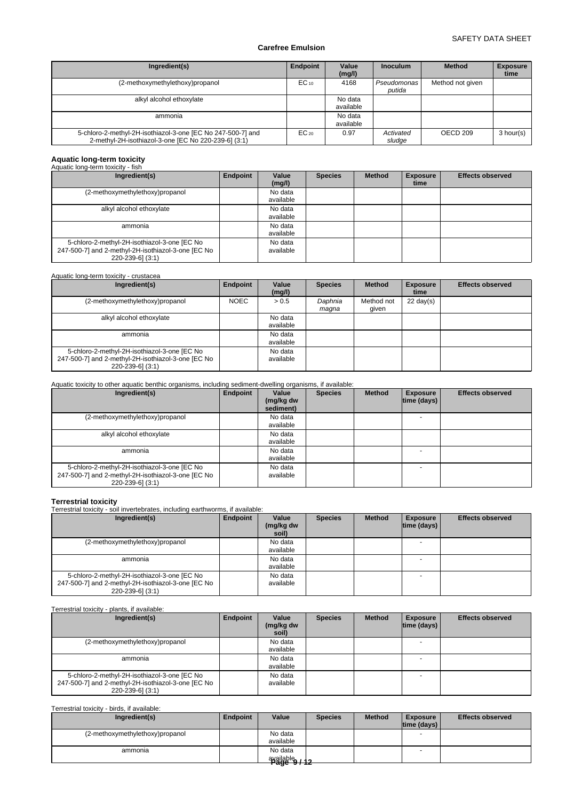| Ingredient(s)                                                                                                       | Endpoint  | Value<br>(mg/l)      | <b>Inoculum</b>       | <b>Method</b>    | <b>Exposure</b><br>time |
|---------------------------------------------------------------------------------------------------------------------|-----------|----------------------|-----------------------|------------------|-------------------------|
| (2-methoxymethylethoxy)propanol                                                                                     | $EC_{10}$ | 4168                 | Pseudomonas<br>putida | Method not given |                         |
| alkyl alcohol ethoxylate                                                                                            |           | No data<br>available |                       |                  |                         |
| ammonia                                                                                                             |           | No data<br>available |                       |                  |                         |
| 5-chloro-2-methyl-2H-isothiazol-3-one [EC No 247-500-7] and<br>2-methyl-2H-isothiazol-3-one [EC No 220-239-6] (3:1) | $EC_{20}$ | 0.97                 | Activated<br>sludge   | OECD 209         | 3 hour(s)               |

## **Aquatic long-term toxicity**

| Aquatic long-term toxicity - fish                                                                                      |          |                      |                |               |                         |                         |
|------------------------------------------------------------------------------------------------------------------------|----------|----------------------|----------------|---------------|-------------------------|-------------------------|
| Ingredient(s)                                                                                                          | Endpoint | Value<br>(mg/l)      | <b>Species</b> | <b>Method</b> | <b>Exposure</b><br>time | <b>Effects observed</b> |
| (2-methoxymethylethoxy)propanol                                                                                        |          | No data<br>available |                |               |                         |                         |
| alkyl alcohol ethoxylate                                                                                               |          | No data<br>available |                |               |                         |                         |
| ammonia                                                                                                                |          | No data<br>available |                |               |                         |                         |
| 5-chloro-2-methyl-2H-isothiazol-3-one [EC No<br>247-500-7] and 2-methyl-2H-isothiazol-3-one [EC No<br>220-239-6] (3:1) |          | No data<br>available |                |               |                         |                         |

## Aquatic long-term toxicity - crustacea

| Ingredient(s)                                                                                                          | Endpoint    | Value<br>(mg/l)      | <b>Species</b>   | <b>Method</b>       | <b>Exposure</b><br>time | <b>Effects observed</b> |
|------------------------------------------------------------------------------------------------------------------------|-------------|----------------------|------------------|---------------------|-------------------------|-------------------------|
| (2-methoxymethylethoxy)propanol                                                                                        | <b>NOEC</b> | > 0.5                | Daphnia<br>maqna | Method not<br>qiven | $22 \text{ day}(s)$     |                         |
| alkyl alcohol ethoxylate                                                                                               |             | No data<br>available |                  |                     |                         |                         |
| ammonia                                                                                                                |             | No data<br>available |                  |                     |                         |                         |
| 5-chloro-2-methyl-2H-isothiazol-3-one [EC No<br>247-500-7] and 2-methyl-2H-isothiazol-3-one [EC No<br>220-239-6] (3:1) |             | No data<br>available |                  |                     |                         |                         |

## Aquatic toxicity to other aquatic benthic organisms, including sediment-dwelling organisms, if available:

| Ingredient(s)                                                                                                          | Endpoint | Value<br>(mg/kg dw<br>sediment) | <b>Species</b> | <b>Method</b> | <b>Exposure</b><br>$ time$ (days) $ $ | <b>Effects observed</b> |
|------------------------------------------------------------------------------------------------------------------------|----------|---------------------------------|----------------|---------------|---------------------------------------|-------------------------|
| (2-methoxymethylethoxy)propanol                                                                                        |          | No data<br>available            |                |               |                                       |                         |
| alkyl alcohol ethoxylate                                                                                               |          | No data<br>available            |                |               |                                       |                         |
| ammonia                                                                                                                |          | No data<br>available            |                |               |                                       |                         |
| 5-chloro-2-methyl-2H-isothiazol-3-one [EC No<br>247-500-7] and 2-methyl-2H-isothiazol-3-one [EC No<br>220-239-6] (3:1) |          | No data<br>available            |                |               |                                       |                         |

**Terrestrial toxicity** Terrestrial toxicity - soil invertebrates, including earthworms, if available:

| Ingredient(s)                                                                                                          | Endpoint | Value<br>(mg/kg dw<br>soil) | <b>Species</b> | <b>Method</b> | <b>Exposure</b><br>$ time$ (days) $ $ | <b>Effects observed</b> |
|------------------------------------------------------------------------------------------------------------------------|----------|-----------------------------|----------------|---------------|---------------------------------------|-------------------------|
| (2-methoxymethylethoxy)propanol                                                                                        |          | No data<br>available        |                |               |                                       |                         |
| ammonia                                                                                                                |          | No data<br>available        |                |               |                                       |                         |
| 5-chloro-2-methyl-2H-isothiazol-3-one [EC No<br>247-500-7] and 2-methyl-2H-isothiazol-3-one [EC No<br>220-239-6] (3:1) |          | No data<br>available        |                |               |                                       |                         |

## Terrestrial toxicity - plants, if available:

| Ingredient(s)                                                                                                          | Endpoint | Value<br>(mg/kg dw<br>soil) | <b>Species</b> | <b>Method</b> | <b>Exposure</b><br>$ time$ (days) $ $ | <b>Effects observed</b> |
|------------------------------------------------------------------------------------------------------------------------|----------|-----------------------------|----------------|---------------|---------------------------------------|-------------------------|
| (2-methoxymethylethoxy)propanol                                                                                        |          | No data<br>available        |                |               |                                       |                         |
| ammonia                                                                                                                |          | No data<br>available        |                |               |                                       |                         |
| 5-chloro-2-methyl-2H-isothiazol-3-one [EC No<br>247-500-7] and 2-methyl-2H-isothiazol-3-one [EC No<br>220-239-6] (3:1) |          | No data<br>available        |                |               |                                       |                         |

## Terrestrial toxicity - birds, if available:

| Ingredient(s)                   | Endpoint | Value                             | <b>Species</b> | <b>Method</b> | <b>Exposure</b><br>$ time$ (days) $ $ | <b>Effects observed</b> |
|---------------------------------|----------|-----------------------------------|----------------|---------------|---------------------------------------|-------------------------|
| (2-methoxymethylethoxy)propanol |          | No data<br>available              |                |               | - -                                   |                         |
| ammonia                         |          | No data<br>available<br>Page 9/12 |                |               |                                       |                         |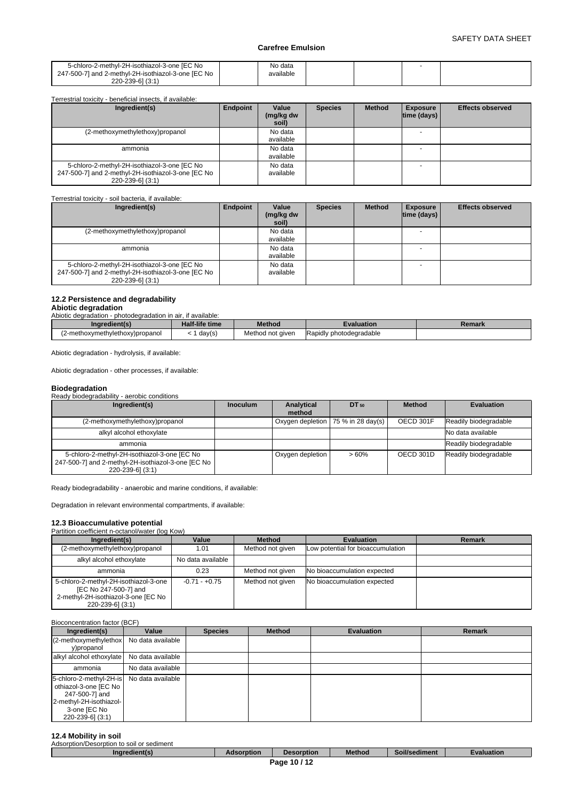| 5-chloro-2-methyl-2H-isothiazol-3-one [EC No<br>247-500-7] and 2-methyl-2H-isothiazol-3-one [EC No | No data<br>available |  |  |
|----------------------------------------------------------------------------------------------------|----------------------|--|--|
| 220-239-61 (3:1)                                                                                   |                      |  |  |

| Terrestrial toxicity - beneficial insects, if available:                                                               |          |                             |                |               |                                |                         |
|------------------------------------------------------------------------------------------------------------------------|----------|-----------------------------|----------------|---------------|--------------------------------|-------------------------|
| Ingredient(s)                                                                                                          | Endpoint | Value<br>(mg/kg dw<br>soil) | <b>Species</b> | <b>Method</b> | <b>Exposure</b><br>time (days) | <b>Effects observed</b> |
| (2-methoxymethylethoxy)propanol                                                                                        |          | No data<br>available        |                |               |                                |                         |
| ammonia                                                                                                                |          | No data<br>available        |                |               |                                |                         |
| 5-chloro-2-methyl-2H-isothiazol-3-one [EC No<br>247-500-7] and 2-methyl-2H-isothiazol-3-one [EC No<br>220-239-6] (3:1) |          | No data<br>available        |                |               |                                |                         |

## Terrestrial toxicity - soil bacteria, if available:

| Ingredient(s)                                                                                                          | Endpoint | Value<br>(mg/kg dw<br>soil) | <b>Species</b> | <b>Method</b> | <b>Exposure</b><br>$ time$ (days) $ $ | <b>Effects observed</b> |
|------------------------------------------------------------------------------------------------------------------------|----------|-----------------------------|----------------|---------------|---------------------------------------|-------------------------|
| (2-methoxymethylethoxy)propanol                                                                                        |          | No data<br>available        |                |               |                                       |                         |
| ammonia                                                                                                                |          | No data<br>available        |                |               |                                       |                         |
| 5-chloro-2-methyl-2H-isothiazol-3-one [EC No<br>247-500-7] and 2-methyl-2H-isothiazol-3-one [EC No<br>220-239-6] (3:1) |          | No data<br>available        |                |               |                                       |                         |

## **12.2 Persistence and degradability**

# **Abiotic degradation**

| Abiotic degradation - photodegradation in air, if available: |                |                  |                         |        |
|--------------------------------------------------------------|----------------|------------------|-------------------------|--------|
| Ingredient(s)                                                | Half-life time | <b>Method</b>    | Evaluation              | Remark |
| (2-methoxymethylethoxy)propanol                              | day(s)         | Method not given | Rapidly photodegradable |        |

Abiotic degradation - hydrolysis, if available:

Abiotic degradation - other processes, if available:

## **Biodegradation**

Ready biodegradability - aerobic conditions

| Ingredient(s)                                                                                                            | <b>Inoculum</b> | Analytical       | $DT_{50}$                            | <b>Method</b> | <b>Evaluation</b>     |
|--------------------------------------------------------------------------------------------------------------------------|-----------------|------------------|--------------------------------------|---------------|-----------------------|
|                                                                                                                          |                 | method           |                                      |               |                       |
| (2-methoxymethylethoxy)propanol                                                                                          |                 |                  | Oxygen depletion   75 % in 28 day(s) | OECD 301F     | Readily biodegradable |
| alkyl alcohol ethoxylate                                                                                                 |                 |                  |                                      |               | No data available     |
| ammonia                                                                                                                  |                 |                  |                                      |               | Readily biodegradable |
| 5-chloro-2-methyl-2H-isothiazol-3-one [EC No<br>247-500-7] and 2-methyl-2H-isothiazol-3-one [EC No  <br>220-239-61 (3:1) |                 | Oxygen depletion | >60%                                 | OECD 301D     | Readily biodegradable |

Ready biodegradability - anaerobic and marine conditions, if available:

Degradation in relevant environmental compartments, if available:

#### **12.3 Bioaccumulative potential Partition coefficient n-octa**

| animum coemicient ri-octanol/water (log row)                                                                              |                   |                  |                                   |        |
|---------------------------------------------------------------------------------------------------------------------------|-------------------|------------------|-----------------------------------|--------|
| Ingredient(s)                                                                                                             | Value             | <b>Method</b>    | <b>Evaluation</b>                 | Remark |
| (2-methoxymethylethoxy)propanol                                                                                           | 1.01              | Method not given | Low potential for bioaccumulation |        |
| alkyl alcohol ethoxylate                                                                                                  | No data available |                  |                                   |        |
| ammonia                                                                                                                   | 0.23              | Method not given | No bioaccumulation expected       |        |
| 5-chloro-2-methyl-2H-isothiazol-3-one<br>[EC No 247-500-7] and<br>2-methyl-2H-isothiazol-3-one [EC No<br>220-239-6] (3:1) | $-0.71 - +0.75$   | Method not given | No bioaccumulation expected       |        |

#### Bioconcentration factor (BCF)

| Ingredient(s)                                                                                                                                       | Value             | <b>Species</b> | <b>Method</b> | <b>Evaluation</b> | Remark |
|-----------------------------------------------------------------------------------------------------------------------------------------------------|-------------------|----------------|---------------|-------------------|--------|
| (2-methoxymethylethox)<br>y)propanol                                                                                                                | No data available |                |               |                   |        |
| alkyl alcohol ethoxylate No data available                                                                                                          |                   |                |               |                   |        |
| ammonia                                                                                                                                             | No data available |                |               |                   |        |
| 5-chloro-2-methyl-2H-is No data available<br>othiazol-3-one [EC No<br>247-500-7] and<br>2-methyl-2H-isothiazol-<br>3-one [EC No<br>220-239-6] (3:1) |                   |                |               |                   |        |

## **12.4 Mobility in soil**

| Adsorption/Desorption<br>า to soil or sediment |           |            |               |                       |            |
|------------------------------------------------|-----------|------------|---------------|-----------------------|------------|
| Ingredient(s)                                  | dsorption | Desorption | <b>Method</b> | $-1$<br>Soil/sediment | Evaluation |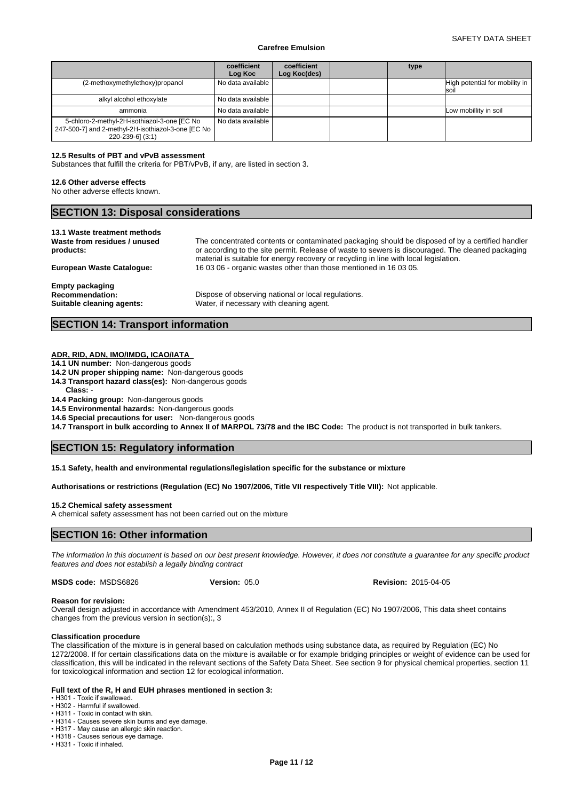|                                                                                                                          | coefficient<br>Log Koc | coefficient<br>Log Koc(des) | type |                                               |
|--------------------------------------------------------------------------------------------------------------------------|------------------------|-----------------------------|------|-----------------------------------------------|
| (2-methoxymethylethoxy)propanol                                                                                          | No data available      |                             |      | High potential for mobility in<br><b>Isoi</b> |
| alkyl alcohol ethoxylate                                                                                                 | No data available      |                             |      |                                               |
| ammonia                                                                                                                  | l No data available    |                             |      | Low mobillity in soil                         |
| 5-chloro-2-methyl-2H-isothiazol-3-one [EC No<br>247-500-7] and 2-methyl-2H-isothiazol-3-one [EC No  <br>220-239-6] (3:1) | No data available      |                             |      |                                               |

#### **12.5 Results of PBT and vPvB assessment**

Substances that fulfill the criteria for PBT/vPvB, if any, are listed in section 3.

#### **12.6 Other adverse effects**

No other adverse effects known.

## **SECTION 13: Disposal considerations**

**13.1 Waste treatment methods Waste from residues / unused products:**

The concentrated contents or contaminated packaging should be disposed of by a certified handler or according to the site permit. Release of waste to sewers is discouraged. The cleaned packaging material is suitable for energy recovery or recycling in line with local legislation. **European Waste Catalogue:** 16 03 06 - organic wastes other than those mentioned in 16 03 05.

**Empty packaging**

**Recommendation:** Dispose of observing national or local regulations. **Suitable cleaning agents:** Water, if necessary with cleaning agent.

## **SECTION 14: Transport information**

#### **ADR, RID, ADN, IMO/IMDG, ICAO/IATA**

**14.1 UN number:** Non-dangerous goods

- **14.2 UN proper shipping name:** Non-dangerous goods
- **14.3 Transport hazard class(es):** Non-dangerous goods
- **Class:** -

## **14.4 Packing group:** Non-dangerous goods

**14.5 Environmental hazards:** Non-dangerous goods

**14.6 Special precautions for user:** Non-dangerous goods

**14.7 Transport in bulk according to Annex II of MARPOL 73/78 and the IBC Code:** The product is not transported in bulk tankers.

## **SECTION 15: Regulatory information**

#### **15.1 Safety, health and environmental regulations/legislation specific for the substance or mixture**

**Authorisations or restrictions (Regulation (EC) No 1907/2006, Title VII respectively Title VIII):** Not applicable.

#### **15.2 Chemical safety assessment**

A chemical safety assessment has not been carried out on the mixture

## **SECTION 16: Other information**

*The information in this document is based on our best present knowledge. However, it does not constitute a guarantee for any specific product features and does not establish a legally binding contract*

**MSDS code:** MSDS6826

**Version:** 05.0 **Revision:** 2015-04-05

#### **Reason for revision:**

Overall design adjusted in accordance with Amendment 453/2010, Annex II of Regulation (EC) No 1907/2006, This data sheet contains changes from the previous version in section(s):, 3

#### **Classification procedure**

The classification of the mixture is in general based on calculation methods using substance data, as required by Regulation (EC) No 1272/2008. If for certain classifications data on the mixture is available or for example bridging principles or weight of evidence can be used for classification, this will be indicated in the relevant sections of the Safety Data Sheet. See section 9 for physical chemical properties, section 11 for toxicological information and section 12 for ecological information.

#### **Full text of the R, H and EUH phrases mentioned in section 3:**

• H301 - Toxic if swallowed. • H302 - Harmful if swallowed

• H311 - Toxic in contact with skin.

• H314 - Causes severe skin burns and eye damage.

• H317 - May cause an allergic skin reaction.

• H318 - Causes serious eye damage.

• H331 - Toxic if inhaled.